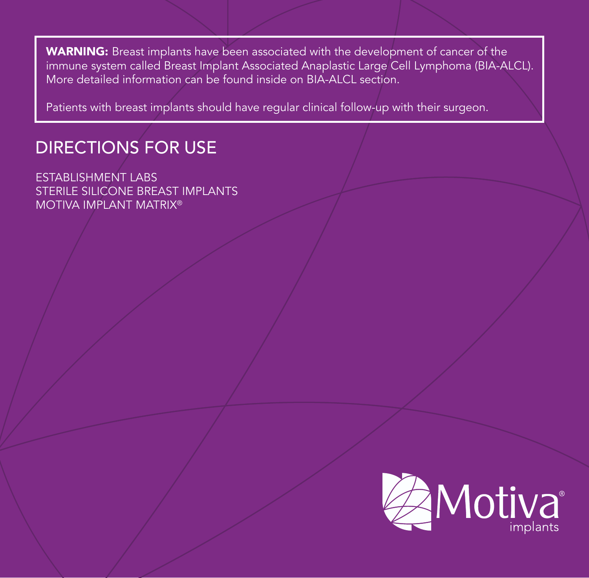WARNING: Breast implants have been associated with the development of cancer of the immune system called Breast Implant Associated Anaplastic Large Cell Lymphoma (BIA-ALCL). More detailed information can be found inside on BIA-ALCL section.

Patients with breast implants should have regular clinical follow-up with their surgeon.

# DIRECTIONS FOR USE

ESTABLISHMENT LABS STERILE SILICONE BREAST IMPLANTS MOTIVA IMPLANT MATRIX®

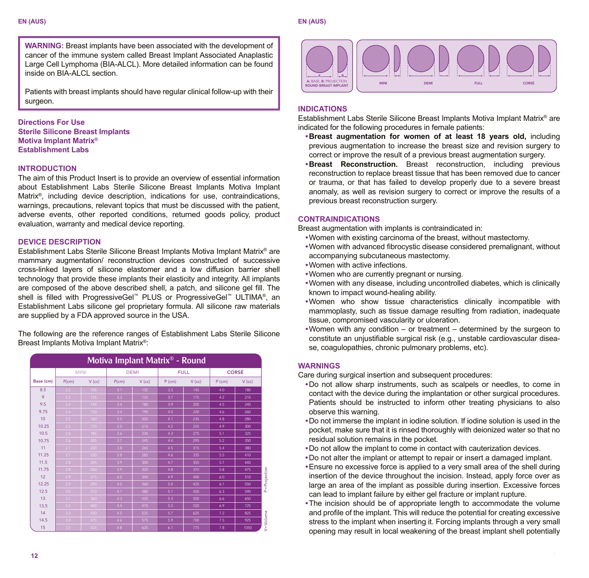**WARNING:** Breast implants have been associated with the development of cancer of the immune system called Breast Implant Associated Anaplastic Large Cell Lymphoma (BIA-ALCL). More detailed information can be found inside on BIA-ALCL section.

Patients with breast implants should have regular clinical follow-up with their surgeon.

# **Directions For Use Sterile Silicone Breast Implants Motiva Implant Matrix® Establishment Labs**

# **INTRODUCTION**

The aim of this Product Insert is to provide an overview of essential information about Establishment Labs Sterile Silicone Breast Implants Motiva Implant Matrix<sup>®</sup>, including device description, indications for use, contraindications, warnings, precautions, relevant topics that must be discussed with the patient, adverse events, other reported conditions, returned goods policy, product evaluation, warranty and medical device reporting.

# **DEVICE DESCRIPTION**

Establishment Labs Sterile Silicone Breast Implants Motiva Implant Matrix® are mammary augmentation/ reconstruction devices constructed of successive cross-linked layers of silicone elastomer and a low diffusion barrier shell technology that provide these implants their elasticity and integrity. All implants are composed of the above described shell, a patch, and silicone gel fill. The shell is filled with ProgressiveGel™ PLUS or ProgressiveGel™ ULTIMA®, an Establishment Labs silicone gel proprietary formula. All silicone raw materials are supplied by a FDA approved source in the USA.

The following are the reference ranges of Establishment Labs Sterile Silicone Breast Implants Motiva Implant Matrix®:

| Motiva Implant Matrix <sup>®</sup> - Round |       |             |       |             |        |             |          |              |
|--------------------------------------------|-------|-------------|-------|-------------|--------|-------------|----------|--------------|
|                                            |       | <b>MINI</b> |       | <b>DEMI</b> |        | <b>FULL</b> |          | <b>CORSÉ</b> |
| Base (cm)                                  | P(cm) | $V$ (cc)    | P(cm) | $V$ (cc)    | P (cm) | V (cc)      | $P$ (cm) | $V$ (cc)     |
| 8.5                                        | 2.2   | 105         | 3.1   | 135         | 3.5    | 145         | 4.0      | 180          |
| 9                                          | 2.3   | 125         | 3.3   | 155         | 3.7    | 175         | 4.2      | 210          |
| 9.5                                        | 2.4   | 140         | 3.4   | 180         | 3.9    | 205         | 4.5      | 240          |
| 9.75                                       | 2.4   | 150         | 3.4   | 190         | 4.0    | 220         | 4.6      | 260          |
| 10                                         | 2.5   | 160         | 3.5   | 205         | 4.1    | 235         | 4.8      | 280          |
| 10.25                                      | 2.5   | 170         | 3.5   | 215         | 4.2    | 255         | 4.9      | 300          |
| 10.5                                       | 2.6   | 185         | 3.6   | 230         | 4.3    | 275         | 5.1      | 325          |
| 10.75                                      | 2.6   | 205         | 3.7   | 245         | 4.4    | 295         | 5.2      | 350          |
| 11                                         | 2.7   | 220         | 3.8   | 265         | 4.5    | 315         | 5.4      | 380          |
| 11.25                                      | 2.7   | 230         | 3.8   | 285         | 4.6    | 335         | 5.5      | 410          |
| 11.5                                       | 2.8   | 245         | 3.9   | 300         | 4.7    | 355         | 5.7      | 440          |
| 11.75                                      | 2.8   | 260         | 3.9   | 320         | 4.8    | 375         | 5.8      | 475          |
| 12                                         | 2.9   | 275         | 4.0   | 340         | 4.9    | 400         | 6.0      | 510          |
| 12.25                                      | 2.9   | 290         | 4.0   | 360         | 5.0    | 425         | 6.1      | 550          |
| 12.5                                       | 3.0   | 310         | 4.1   | 380         | 5.1    | 450         | 6.3      | 590          |
| 13                                         | 3.1   | 360         | 4.3   | 425         | 5.3    | 500         | 6.6      | 650          |
| 13.5                                       | 3.2   | 400         | 4.A   | 475         | 5.5    | 550         | 6.9      | 725          |
| 14                                         | 3.3   | 430         | 4.5   | 525         | 5.7    | 625         | 7.2      | 825          |
| 14.5                                       | 3.4   | 475         | 4.6   | 575         | 5.9    | 700         | 7.5      | 925          |
| 15                                         | 3.5   | 525         | 4.8   | 625         | 6.1    | 775         | 7.8      | 1050         |



# **INDICATIONS**

Establishment Labs Sterile Silicone Breast Implants Motiva Implant Matrix® are indicated for the following procedures in female patients:

- **Breast augmentation for women of at least 18 years old,** including previous augmentation to increase the breast size and revision surgery to correct or improve the result of a previous breast augmentation surgery.
- **Breast Reconstruction.** Breast reconstruction, including previous reconstruction to replace breast tissue that has been removed due to cancer or trauma, or that has failed to develop properly due to a severe breast anomaly, as well as revision surgery to correct or improve the results of a previous breast reconstruction surgery.

# **CONTRAINDICATIONS**

Breast augmentation with implants is contraindicated in:

- Women with existing carcinoma of the breast, without mastectomy.
- Women with advanced fibrocystic disease considered premalignant, without accompanying subcutaneous mastectomy.
- Women with active infections.
- Women who are currently pregnant or nursing.
- Women with any disease, including uncontrolled diabetes, which is clinically known to impact wound-healing ability.
- Women who show tissue characteristics clinically incompatible with mammoplasty, such as tissue damage resulting from radiation, inadequate tissue, compromised vascularity or ulceration.
- Women with any condition or treatment determined by the surgeon to constitute an uniustifiable surgical risk (e.g., unstable cardiovascular disease, coagulopathies, chronic pulmonary problems, etc).

## **WARNINGS**

Care during surgical insertion and subsequent procedures:

- Do not allow sharp instruments, such as scalpels or needles, to come in contact with the device during the implantation or other surgical procedures. Patients should be instructed to inform other treating physicians to also observe this warning.
- Do not immerse the implant in iodine solution. If iodine solution is used in the pocket, make sure that it is rinsed thoroughly with deionized water so that no residual solution remains in the pocket.
- Do not allow the implant to come in contact with cauterization devices.
- Do not alter the implant or attempt to repair or insert a damaged implant.
- Ensure no excessive force is applied to a very small area of the shell during insertion of the device throughout the incision. Instead, apply force over as large an area of the implant as possible during insertion. Excessive forces can lead to implant failure by either gel fracture or implant rupture.
- The incision should be of appropriate length to accommodate the volume and profile of the implant. This will reduce the potential for creating excessive stress to the implant when inserting it. Forcing implants through a very small opening may result in local weakening of the breast implant shell potentially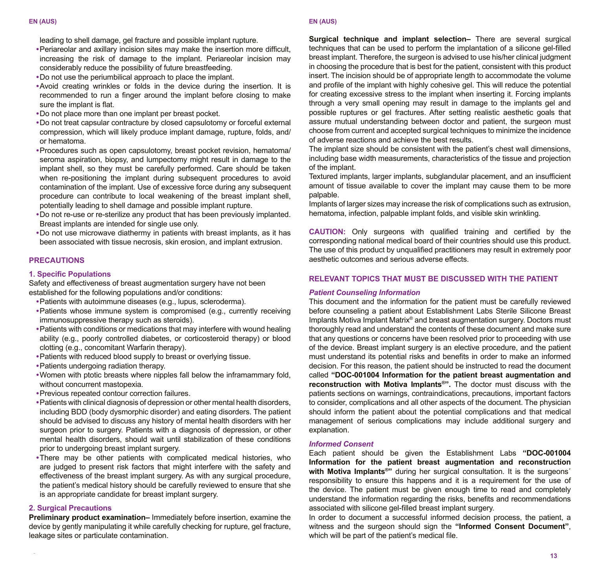leading to shell damage, gel fracture and possible implant rupture.

- Periareolar and axillary incision sites may make the insertion more difficult, increasing the risk of damage to the implant. Periareolar incision may considerably reduce the possibility of future breastfeeding.
- Do not use the periumbilical approach to place the implant.
- Avoid creating wrinkles or folds in the device during the insertion. It is recommended to run a finger around the implant before closing to make sure the implant is flat.
- Do not place more than one implant per breast pocket.
- Do not treat capsular contracture by closed capsulotomy or forceful external compression, which will likely produce implant damage, rupture, folds, and/ or hematoma.
- Procedures such as open capsulotomy, breast pocket revision, hematoma/ seroma aspiration, biopsy, and lumpectomy might result in damage to the implant shell, so they must be carefully performed. Care should be taken when re-positioning the implant during subsequent procedures to avoid contamination of the implant. Use of excessive force during any subsequent procedure can contribute to local weakening of the breast implant shell, potentially leading to shell damage and possible implant rupture.
- Do not re-use or re-sterilize any product that has been previously implanted. Breast implants are intended for single use only.
- Do not use microwave diathermy in patients with breast implants, as it has been associated with tissue necrosis, skin erosion, and implant extrusion.

# **PRECAUTIONS**

# **1. Specific Populations**

Safety and effectiveness of breast augmentation surgery have not been established for the following populations and/or conditions:

- Patients with autoimmune diseases (e.g., lupus, scleroderma).
- Patients whose immune system is compromised (e.g., currently receiving immunosuppressive therapy such as steroids).
- Patients with conditions or medications that may interfere with wound healing ability (e.g., poorly controlled diabetes, or corticosteroid therapy) or blood clotting (e.g., concomitant Warfarin therapy).
- Patients with reduced blood supply to breast or overlying tissue.
- Patients undergoing radiation therapy.
- Women with ptotic breasts where nipples fall below the inframammary fold, without concurrent mastopexia.
- Previous repeated contour correction failures.
- Patients with clinical diagnosis of depression or other mental health disorders, including BDD (body dysmorphic disorder) and eating disorders. The patient should be advised to discuss any history of mental health disorders with her surgeon prior to surgery. Patients with a diagnosis of depression, or other mental health disorders, should wait until stabilization of these conditions prior to undergoing breast implant surgery.
- There may be other patients with complicated medical histories, who are judged to present risk factors that might interfere with the safety and effectiveness of the breast implant surgery. As with any surgical procedure, the patient's medical history should be carefully reviewed to ensure that she is an appropriate candidate for breast implant surgery.

#### **2. Surgical Precautions**

**Preliminary product examination–** Immediately before insertion, examine the device by gently manipulating it while carefully checking for rupture, gel fracture, leakage sites or particulate contamination.

**Surgical technique and implant selection–** There are several surgical techniques that can be used to perform the implantation of a silicone gel-filled breast implant. Therefore, the surgeon is advised to use his/her clinical judgment in choosing the procedure that is best for the patient, consistent with this product insert. The incision should be of appropriate length to accommodate the volume and profile of the implant with highly cohesive gel. This will reduce the potential for creating excessive stress to the implant when inserting it. Forcing implants through a very small opening may result in damage to the implants gel and possible ruptures or gel fractures. After setting realistic aesthetic goals that assure mutual understanding between doctor and patient, the surgeon must choose from current and accepted surgical techniques to minimize the incidence of adverse reactions and achieve the best results.

The implant size should be consistent with the patient's chest wall dimensions, including base width measurements, characteristics of the tissue and projection of the implant.

Textured implants, larger implants, subglandular placement, and an insufficient amount of tissue available to cover the implant may cause them to be more palpable.

Implants of larger sizes may increase the risk of complications such as extrusion, hematoma, infection, palpable implant folds, and visible skin wrinkling.

**CAUTION:** Only surgeons with qualified training and certified by the corresponding national medical board of their countries should use this product. The use of this product by unqualified practitioners may result in extremely poor aesthetic outcomes and serious adverse effects.

# **RELEVANT TOPICS THAT MUST BE DISCUSSED WITH THE PATIENT**

#### *Patient Counseling Information*

This document and the information for the patient must be carefully reviewed before counseling a patient about Establishment Labs Sterile Silicone Breast Implants Motiva Implant Matrix® and breast augmentation surgery. Doctors must thoroughly read and understand the contents of these document and make sure that any questions or concerns have been resolved prior to proceeding with use of the device. Breast implant surgery is an elective procedure, and the patient must understand its potential risks and benefits in order to make an informed decision. For this reason, the patient should be instructed to read the document called **"DOC-001004 Information for the patient breast augmentation and reconstruction with Motiva Implants®".** The doctor must discuss with the patients sections on warnings, contraindications, precautions, important factors to consider, complications and all other aspects of the document. The physician should inform the patient about the potential complications and that medical management of serious complications may include additional surgery and explanation.

#### *Informed Consent*

Each patient should be given the Establishment Labs **"DOC-001004 Information for the patient breast augmentation and reconstruction**  with Motiva Implants<sup>®</sup>" during her surgical consultation. It is the surgeons<sup>'</sup> responsibility to ensure this happens and it is a requirement for the use of the device. The patient must be given enough time to read and completely understand the information regarding the risks, benefits and recommendations associated with silicone gel-filled breast implant surgery.

In order to document a successful informed decision process, the patient, a witness and the surgeon should sign the **"Informed Consent Document"**, which will be part of the patient's medical file.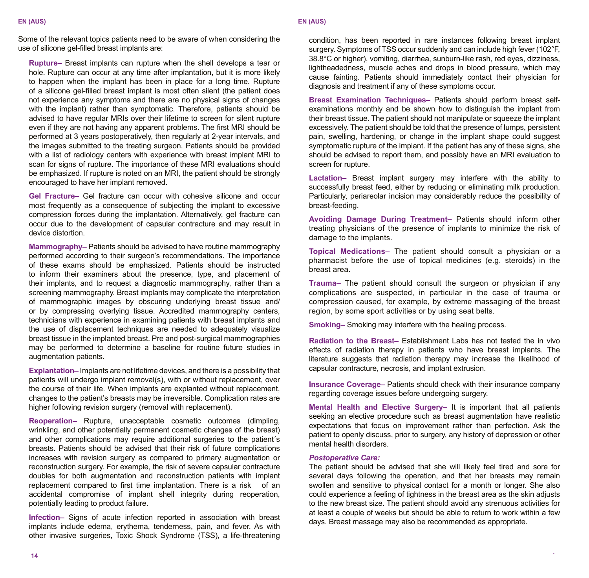Some of the relevant topics patients need to be aware of when considering the use of silicone gel-filled breast implants are:

**Rupture–** Breast implants can rupture when the shell develops a tear or hole. Rupture can occur at any time after implantation, but it is more likely to happen when the implant has been in place for a long time. Rupture of a silicone gel-filled breast implant is most often silent (the patient does not experience any symptoms and there are no physical signs of changes with the implant) rather than symptomatic. Therefore, patients should be advised to have regular MRIs over their lifetime to screen for silent rupture even if they are not having any apparent problems. The first MRI should be performed at 3 years postoperatively, then regularly at 2-year intervals, and the images submitted to the treating surgeon. Patients should be provided with a list of radiology centers with experience with breast implant MRI to scan for signs of rupture. The importance of these MRI evaluations should be emphasized. If rupture is noted on an MRI, the patient should be strongly encouraged to have her implant removed.

**Gel Fracture–** Gel fracture can occur with cohesive silicone and occur most frequently as a consequence of subjecting the implant to excessive compression forces during the implantation. Alternatively, gel fracture can occur due to the development of capsular contracture and may result in device distortion.

**Mammography–** Patients should be advised to have routine mammography performed according to their surgeon's recommendations. The importance of these exams should be emphasized. Patients should be instructed to inform their examiners about the presence, type, and placement of their implants, and to request a diagnostic mammography, rather than a screening mammography. Breast implants may complicate the interpretation of mammographic images by obscuring underlying breast tissue and/ or by compressing overlying tissue. Accredited mammography centers, technicians with experience in examining patients with breast implants and the use of displacement techniques are needed to adequately visualize breast tissue in the implanted breast. Pre and post-surgical mammographies may be performed to determine a baseline for routine future studies in augmentation patients.

**Explantation–** Implants are not lifetime devices, and there is a possibility that patients will undergo implant removal(s), with or without replacement, over the course of their life. When implants are explanted without replacement, changes to the patient's breasts may be irreversible. Complication rates are higher following revision surgery (removal with replacement).

**Reoperation–** Rupture, unacceptable cosmetic outcomes (dimpling, wrinkling, and other potentially permanent cosmetic changes of the breast) and other complications may require additional surgeries to the patient´s breasts. Patients should be advised that their risk of future complications increases with revision surgery as compared to primary augmentation or reconstruction surgery. For example, the risk of severe capsular contracture doubles for both augmentation and reconstruction patients with implant replacement compared to first time implantation. There is a risk of an accidental compromise of implant shell integrity during reoperation, potentially leading to product failure.

**Infection–** Signs of acute infection reported in association with breast implants include edema, erythema, tenderness, pain, and fever. As with other invasive surgeries, Toxic Shock Syndrome (TSS), a life-threatening

condition, has been reported in rare instances following breast implant surgery. Symptoms of TSS occur suddenly and can include high fever (102°F, 38.8°C or higher), vomiting, diarrhea, sunburn-like rash, red eyes, dizziness, lightheadedness, muscle aches and drops in blood pressure, which may cause fainting. Patients should immediately contact their physician for diagnosis and treatment if any of these symptoms occur.

**Breast Examination Techniques–** Patients should perform breast selfexaminations monthly and be shown how to distinguish the implant from their breast tissue. The patient should not manipulate or squeeze the implant excessively. The patient should be told that the presence of lumps, persistent pain, swelling, hardening, or change in the implant shape could suggest symptomatic rupture of the implant. If the patient has any of these signs, she should be advised to report them, and possibly have an MRI evaluation to screen for rupture.

**Lactation–** Breast implant surgery may interfere with the ability to successfully breast feed, either by reducing or eliminating milk production. Particularly, periareolar incision may considerably reduce the possibility of breast-feeding.

**Avoiding Damage During Treatment–** Patients should inform other treating physicians of the presence of implants to minimize the risk of damage to the implants.

**Topical Medications–** The patient should consult a physician or a pharmacist before the use of topical medicines (e.g. steroids) in the breast area.

**Trauma–** The patient should consult the surgeon or physician if any complications are suspected, in particular in the case of trauma or compression caused, for example, by extreme massaging of the breast region, by some sport activities or by using seat belts.

**Smoking–** Smoking may interfere with the healing process.

**Radiation to the Breast–** Establishment Labs has not tested the in vivo effects of radiation therapy in patients who have breast implants. The literature suggests that radiation therapy may increase the likelihood of capsular contracture, necrosis, and implant extrusion.

**Insurance Coverage–** Patients should check with their insurance company regarding coverage issues before undergoing surgery.

**Mental Health and Elective Surgery–** It is important that all patients seeking an elective procedure such as breast augmentation have realistic expectations that focus on improvement rather than perfection. Ask the patient to openly discuss, prior to surgery, any history of depression or other mental health disorders.

# *Postoperative Care:*

The patient should be advised that she will likely feel tired and sore for several days following the operation, and that her breasts may remain swollen and sensitive to physical contact for a month or longer. She also could experience a feeling of tightness in the breast area as the skin adjusts to the new breast size. The patient should avoid any strenuous activities for at least a couple of weeks but should be able to return to work within a few days. Breast massage may also be recommended as appropriate.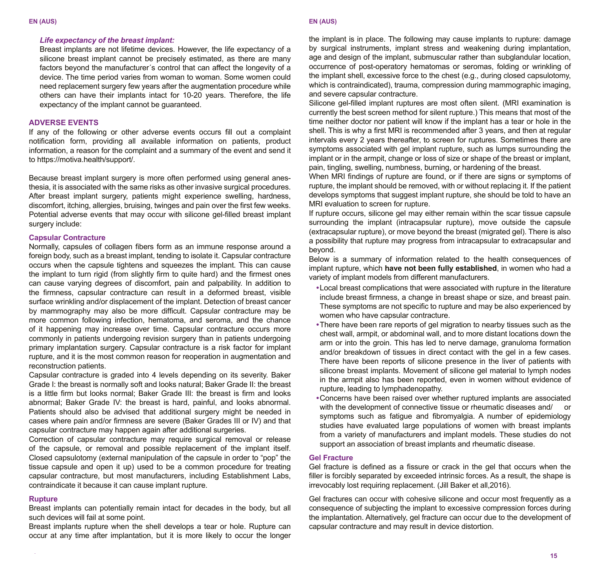#### *Life expectancy of the breast implant:*

Breast implants are not lifetime devices. However, the life expectancy of a silicone breast implant cannot be precisely estimated, as there are many factors beyond the manufacturer´s control that can affect the longevity of a device. The time period varies from woman to woman. Some women could need replacement surgery few years after the augmentation procedure while others can have their implants intact for 10-20 years. Therefore, the life expectancy of the implant cannot be guaranteed.

# **ADVERSE EVENTS**

If any of the following or other adverse events occurs fill out a complaint notification form, providing all available information on patients, product information, a reason for the complaint and a summary of the event and send it to https://motiva.health/support/.

Because breast implant surgery is more often performed using general anesthesia, it is associated with the same risks as other invasive surgical procedures. After breast implant surgery, patients might experience swelling, hardness, discomfort, itching, allergies, bruising, twinges and pain over the first few weeks. Potential adverse events that may occur with silicone gel-filled breast implant surgery include:

# **Capsular Contracture**

Normally, capsules of collagen fibers form as an immune response around a foreign body, such as a breast implant, tending to isolate it. Capsular contracture occurs when the capsule tightens and squeezes the implant. This can cause the implant to turn rigid (from slightly firm to quite hard) and the firmest ones can cause varying degrees of discomfort, pain and palpability. In addition to the firmness, capsular contracture can result in a deformed breast, visible surface wrinkling and/or displacement of the implant. Detection of breast cancer by mammography may also be more difficult. Capsular contracture may be more common following infection, hematoma, and seroma, and the chance of it happening may increase over time. Capsular contracture occurs more commonly in patients undergoing revision surgery than in patients undergoing primary implantation surgery. Capsular contracture is a risk factor for implant rupture, and it is the most common reason for reoperation in augmentation and reconstruction patients.

Capsular contracture is graded into 4 levels depending on its severity. Baker Grade I: the breast is normally soft and looks natural; Baker Grade II: the breast is a little firm but looks normal: Baker Grade III: the breast is firm and looks abnormal; Baker Grade IV: the breast is hard, painful, and looks abnormal. Patients should also be advised that additional surgery might be needed in cases where pain and/or firmness are severe (Baker Grades III or IV) and that capsular contracture may happen again after additional surgeries.

Correction of capsular contracture may require surgical removal or release of the capsule, or removal and possible replacement of the implant itself. Closed capsulotomy (external manipulation of the capsule in order to "pop" the tissue capsule and open it up) used to be a common procedure for treating capsular contracture, but most manufacturers, including Establishment Labs, contraindicate it because it can cause implant rupture.

#### **Rupture**

Breast implants can potentially remain intact for decades in the body, but all such devices will fail at some point.

Breast implants rupture when the shell develops a tear or hole. Rupture can occur at any time after implantation, but it is more likely to occur the longer

#### **EN (AUS) EN (AUS)**

the implant is in place. The following may cause implants to rupture: damage by surgical instruments, implant stress and weakening during implantation, age and design of the implant, submuscular rather than subglandular location, occurrence of post-operatory hematomas or seromas, folding or wrinkling of the implant shell, excessive force to the chest (e.g., during closed capsulotomy, which is contraindicated), trauma, compression during mammographic imaging, and severe capsular contracture.

Silicone gel-filled implant ruptures are most often silent. (MRI examination is currently the best screen method for silent rupture.) This means that most of the time neither doctor nor patient will know if the implant has a tear or hole in the shell. This is why a first MRI is recommended after 3 years, and then at regular intervals every 2 years thereafter, to screen for ruptures. Sometimes there are symptoms associated with gel implant rupture, such as lumps surrounding the implant or in the armpit, change or loss of size or shape of the breast or implant, pain, tingling, swelling, numbness, burning, or hardening of the breast.

When MRI findings of rupture are found, or if there are signs or symptoms of rupture, the implant should be removed, with or without replacing it. If the patient develops symptoms that suggest implant rupture, she should be told to have an MRI evaluation to screen for rupture.

If rupture occurs, silicone gel may either remain within the scar tissue capsule surrounding the implant (intracapsular rupture), move outside the capsule (extracapsular rupture), or move beyond the breast (migrated gel). There is also a possibility that rupture may progress from intracapsular to extracapsular and beyond.

Below is a summary of information related to the health consequences of implant rupture, which **have not been fully established**, in women who had a variety of implant models from different manufacturers.

- Local breast complications that were associated with rupture in the literature include breast firmness, a change in breast shape or size, and breast pain. These symptoms are not specific to rupture and may be also experienced by women who have capsular contracture.
- There have been rare reports of gel migration to nearby tissues such as the chest wall, armpit, or abdominal wall, and to more distant locations down the arm or into the groin. This has led to nerve damage, granuloma formation and/or breakdown of tissues in direct contact with the gel in a few cases. There have been reports of silicone presence in the liver of patients with silicone breast implants. Movement of silicone gel material to lymph nodes in the armpit also has been reported, even in women without evidence of rupture, leading to lymphadenopathy.
- Concerns have been raised over whether ruptured implants are associated with the development of connective tissue or rheumatic diseases and/ symptoms such as fatigue and fibromyalgia. A number of epidemiology studies have evaluated large populations of women with breast implants from a variety of manufacturers and implant models. These studies do not support an association of breast implants and rheumatic disease.

#### **Gel Fracture**

Gel fracture is defined as a fissure or crack in the gel that occurs when the filler is forcibly separated by exceeded intrinsic forces. As a result, the shape is irrevocably lost requiring replacement. (Jill Baker et all,2016).

Gel fractures can occur with cohesive silicone and occur most frequently as a consequence of subjecting the implant to excessive compression forces during the implantation. Alternatively, gel fracture can occur due to the development of capsular contracture and may result in device distortion.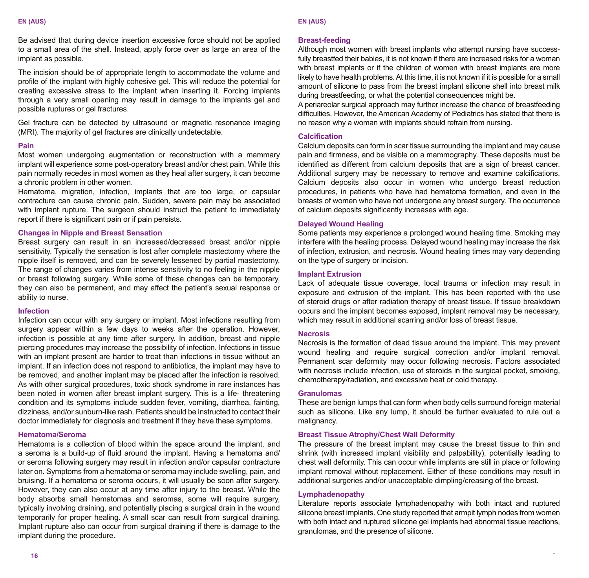Be advised that during device insertion excessive force should not be applied to a small area of the shell. Instead, apply force over as large an area of the implant as possible.

The incision should be of appropriate length to accommodate the volume and profile of the implant with highly cohesive gel. This will reduce the potential for creating excessive stress to the implant when inserting it. Forcing implants through a very small opening may result in damage to the implants gel and possible ruptures or gel fractures.

Gel fracture can be detected by ultrasound or magnetic resonance imaging (MRI). The majority of gel fractures are clinically undetectable.

# **Pain**

Most women undergoing augmentation or reconstruction with a mammary implant will experience some post-operatory breast and/or chest pain. While this pain normally recedes in most women as they heal after surgery, it can become a chronic problem in other women.

Hematoma, migration, infection, implants that are too large, or capsular contracture can cause chronic pain. Sudden, severe pain may be associated with implant rupture. The surgeon should instruct the patient to immediately report if there is significant pain or if pain persists.

# **Changes in Nipple and Breast Sensation**

Breast surgery can result in an increased/decreased breast and/or nipple sensitivity. Typically the sensation is lost after complete mastectomy where the nipple itself is removed, and can be severely lessened by partial mastectomy. The range of changes varies from intense sensitivity to no feeling in the nipple or breast following surgery. While some of these changes can be temporary, they can also be permanent, and may affect the patient's sexual response or ability to nurse.

#### **Infection**

Infection can occur with any surgery or implant. Most infections resulting from surgery appear within a few days to weeks after the operation. However, infection is possible at any time after surgery. In addition, breast and nipple piercing procedures may increase the possibility of infection. Infections in tissue with an implant present are harder to treat than infections in tissue without an implant. If an infection does not respond to antibiotics, the implant may have to be removed, and another implant may be placed after the infection is resolved. As with other surgical procedures, toxic shock syndrome in rare instances has been noted in women after breast implant surgery. This is a life- threatening condition and its symptoms include sudden fever, vomiting, diarrhea, fainting, dizziness, and/or sunburn-like rash. Patients should be instructed to contact their doctor immediately for diagnosis and treatment if they have these symptoms.

# **Hematoma/Seroma**

Hematoma is a collection of blood within the space around the implant, and a seroma is a build-up of fluid around the implant. Having a hematoma and/ or seroma following surgery may result in infection and/or capsular contracture later on. Symptoms from a hematoma or seroma may include swelling, pain, and bruising. If a hematoma or seroma occurs, it will usually be soon after surgery. However, they can also occur at any time after injury to the breast. While the body absorbs small hematomas and seromas, some will require surgery, typically involving draining, and potentially placing a surgical drain in the wound temporarily for proper healing. A small scar can result from surgical draining. Implant rupture also can occur from surgical draining if there is damage to the implant during the procedure.

#### **Breast-feeding**

Although most women with breast implants who attempt nursing have successfully breastfed their babies, it is not known if there are increased risks for a woman with breast implants or if the children of women with breast implants are more likely to have health problems. At this time, it is not known if it is possible for a small amount of silicone to pass from the breast implant silicone shell into breast milk during breastfeeding, or what the potential consequences might be.

A periareolar surgical approach may further increase the chance of breastfeeding difficulties. However, the American Academy of Pediatrics has stated that there is no reason why a woman with implants should refrain from nursing.

#### **Calcifi cation**

Calcium deposits can form in scar tissue surrounding the implant and may cause pain and firmness, and be visible on a mammography. These deposits must be identified as different from calcium deposits that are a sign of breast cancer. Additional surgery may be necessary to remove and examine calcifications. Calcium deposits also occur in women who undergo breast reduction procedures, in patients who have had hematoma formation, and even in the breasts of women who have not undergone any breast surgery. The occurrence of calcium deposits significantly increases with age.

# **Delayed Wound Healing**

Some patients may experience a prolonged wound healing time. Smoking may interfere with the healing process. Delayed wound healing may increase the risk of infection, extrusion, and necrosis. Wound healing times may vary depending on the type of surgery or incision.

# **Implant Extrusion**

Lack of adequate tissue coverage, local trauma or infection may result in exposure and extrusion of the implant. This has been reported with the use of steroid drugs or after radiation therapy of breast tissue. If tissue breakdown occurs and the implant becomes exposed, implant removal may be necessary, which may result in additional scarring and/or loss of breast tissue.

# **Necrosis**

Necrosis is the formation of dead tissue around the implant. This may prevent wound healing and require surgical correction and/or implant removal. Permanent scar deformity may occur following necrosis. Factors associated with necrosis include infection, use of steroids in the surgical pocket, smoking, chemotherapy/radiation, and excessive heat or cold therapy.

### **Granulomas**

These are benign lumps that can form when body cells surround foreign material such as silicone. Like any lump, it should be further evaluated to rule out a malignancy.

#### **Breast Tissue Atrophy/Chest Wall Deformity**

The pressure of the breast implant may cause the breast tissue to thin and shrink (with increased implant visibility and palpability), potentially leading to chest wall deformity. This can occur while implants are still in place or following implant removal without replacement. Either of these conditions may result in additional surgeries and/or unacceptable dimpling/creasing of the breast.

#### **Lymphadenopathy**

Literature reports associate lymphadenopathy with both intact and ruptured silicone breast implants. One study reported that armpit lymph nodes from women with both intact and ruptured silicone gel implants had abnormal tissue reactions, granulomas, and the presence of silicone.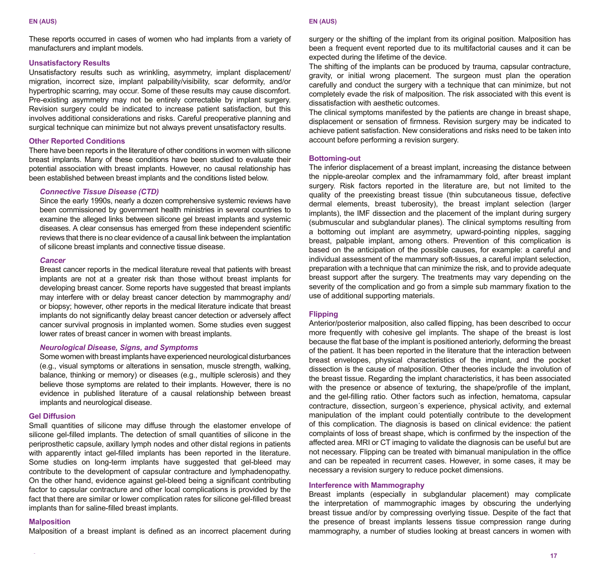#### **EN (AUS) EN (AUS)**

These reports occurred in cases of women who had implants from a variety of manufacturers and implant models.

#### **Unsatisfactory Results**

Unsatisfactory results such as wrinkling, asymmetry, implant displacement/ migration, incorrect size, implant palpability/visibility, scar deformity, and/or hypertrophic scarring, may occur. Some of these results may cause discomfort. Pre-existing asymmetry may not be entirely correctable by implant surgery. Revision surgery could be indicated to increase patient satisfaction, but this involves additional considerations and risks. Careful preoperative planning and surgical technique can minimize but not always prevent unsatisfactory results.

# **Other Reported Conditions**

There have been reports in the literature of other conditions in women with silicone breast implants. Many of these conditions have been studied to evaluate their potential association with breast implants. However, no causal relationship has been established between breast implants and the conditions listed below.

# *Connective Tissue Disease (CTD)*

Since the early 1990s, nearly a dozen comprehensive systemic reviews have been commissioned by government health ministries in several countries to examine the alleged links between silicone gel breast implants and systemic diseases. A clear consensus has emerged from these independent scientific reviews that there is no clear evidence of a causal link between the implantation of silicone breast implants and connective tissue disease.

#### *Cancer*

Breast cancer reports in the medical literature reveal that patients with breast implants are not at a greater risk than those without breast implants for developing breast cancer. Some reports have suggested that breast implants may interfere with or delay breast cancer detection by mammography and/ or biopsy; however, other reports in the medical literature indicate that breast implants do not significantly delay breast cancer detection or adversely affect cancer survival prognosis in implanted women. Some studies even suggest lower rates of breast cancer in women with breast implants.

# *Neurological Disease, Signs, and Symptoms*

Some women with breast implants have experienced neurological disturbances (e.g., visual symptoms or alterations in sensation, muscle strength, walking, balance, thinking or memory) or diseases (e.g., multiple sclerosis) and they believe those symptoms are related to their implants. However, there is no evidence in published literature of a causal relationship between breast implants and neurological disease.

#### **Gel Diffusion**

Small quantities of silicone may diffuse through the elastomer envelope of silicone gel-filled implants. The detection of small quantities of silicone in the periprosthetic capsule, axillary lymph nodes and other distal regions in patients with apparently intact gel-filled implants has been reported in the literature. Some studies on long-term implants have suggested that gel-bleed may contribute to the development of capsular contracture and lymphadenopathy. On the other hand, evidence against gel-bleed being a significant contributing factor to capsular contracture and other local complications is provided by the fact that there are similar or lower complication rates for silicone gel-filled breast implants than for saline-filled breast implants.

#### **Malposition**

Malposition of a breast implant is defined as an incorrect placement during

surgery or the shifting of the implant from its original position. Malposition has been a frequent event reported due to its multifactorial causes and it can be expected during the lifetime of the device.

The shifting of the implants can be produced by trauma, capsular contracture, gravity, or initial wrong placement. The surgeon must plan the operation carefully and conduct the surgery with a technique that can minimize, but not completely evade the risk of malposition. The risk associated with this event is dissatisfaction with aesthetic outcomes.

The clinical symptoms manifested by the patients are change in breast shape, displacement or sensation of firmness. Revision surgery may be indicated to achieve patient satisfaction. New considerations and risks need to be taken into account before performing a revision surgery.

#### **Bottoming-out**

The inferior displacement of a breast implant, increasing the distance between the nipple-areolar complex and the inframammary fold, after breast implant surgery. Risk factors reported in the literature are, but not limited to the quality of the preexisting breast tissue (thin subcutaneous tissue, defective dermal elements, breast tuberosity), the breast implant selection (larger implants), the IMF dissection and the placement of the implant during surgery (submuscular and subglandular planes). The clinical symptoms resulting from a bottoming out implant are asymmetry, upward-pointing nipples, sagging breast, palpable implant, among others. Prevention of this complication is based on the anticipation of the possible causes, for example: a careful and individual assessment of the mammary soft-tissues, a careful implant selection, preparation with a technique that can minimize the risk, and to provide adequate breast support after the surgery. The treatments may vary depending on the severity of the complication and go from a simple sub mammary fixation to the use of additional supporting materials.

#### **Flipping**

Anterior/posterior malposition, also called flipping, has been described to occur more frequently with cohesive gel implants. The shape of the breast is lost because the flat base of the implant is positioned anteriorly, deforming the breast of the patient. It has been reported in the literature that the interaction between breast envelopes, physical characteristics of the implant, and the pocket dissection is the cause of malposition. Other theories include the involution of the breast tissue. Regarding the implant characteristics, it has been associated with the presence or absence of texturing, the shape/profile of the implant, and the gel-filling ratio. Other factors such as infection, hematoma, capsular contracture, dissection, surgeon´s experience, physical activity, and external manipulation of the implant could potentially contribute to the development of this complication. The diagnosis is based on clinical evidence: the patient complaints of loss of breast shape, which is confirmed by the inspection of the affected area. MRI or CT imaging to validate the diagnosis can be useful but are not necessary. Flipping can be treated with bimanual manipulation in the office and can be repeated in recurrent cases. However, in some cases, it may be necessary a revision surgery to reduce pocket dimensions.

#### **Interference with Mammography**

Breast implants (especially in subglandular placement) may complicate the interpretation of mammographic images by obscuring the underlying breast tissue and/or by compressing overlying tissue. Despite of the fact that the presence of breast implants lessens tissue compression range during mammography, a number of studies looking at breast cancers in women with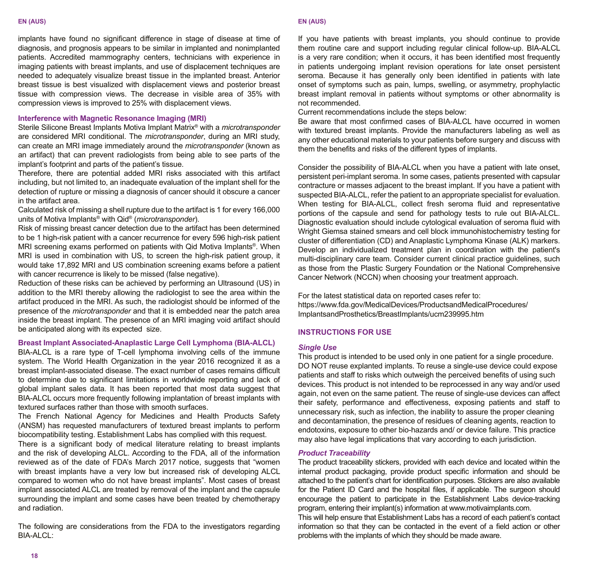implants have found no significant difference in stage of disease at time of diagnosis, and prognosis appears to be similar in implanted and nonimplanted patients. Accredited mammography centers, technicians with experience in imaging patients with breast implants, and use of displacement techniques are needed to adequately visualize breast tissue in the implanted breast. Anterior breast tissue is best visualized with displacement views and posterior breast tissue with compression views. The decrease in visible area of 35% with compression views is improved to 25% with displacement views.

#### **Interference with Magnetic Resonance Imaging (MRI)**

Sterile Silicone Breast Implants Motiva Implant Matrix® with a *microtransponder* are considered MRI conditional. The *microtransponder*, during an MRI study, can create an MRI image immediately around the *microtransponder* (known as an artifact) that can prevent radiologists from being able to see parts of the implant's footprint and parts of the patient's tissue.

Therefore, there are potential added MRI risks associated with this artifact including, but not limited to, an inadequate evaluation of the implant shell for the detection of rupture or missing a diagnosis of cancer should it obscure a cancer in the artifact area.

Calculated risk of missing a shell rupture due to the artifact is 1 for every 166,000 units of Motiva Implants® with Qid® (*microtransponder*).

Risk of missing breast cancer detection due to the artifact has been determined to be 1 high-risk patient with a cancer recurrence for every 596 high-risk patient MRI screening exams performed on patients with Qid Motiva Implants®. When MRI is used in combination with US, to screen the high-risk patient group, it would take 17,892 MRI and US combination screening exams before a patient with cancer recurrence is likely to be missed (false negative).

Reduction of these risks can be achieved by performing an Ultrasound (US) in addition to the MRI thereby allowing the radiologist to see the area within the artifact produced in the MRI. As such, the radiologist should be informed of the presence of the *microtransponder* and that it is embedded near the patch area inside the breast implant. The presence of an MRI imaging void artifact should be anticipated along with its expected size.

# **Breast Implant Associated-Anaplastic Large Cell Lymphoma (BIA-ALCL)**

BIA-ALCL is a rare type of T-cell lymphoma involving cells of the immune system. The World Health Organization in the year 2016 recognized it as a breast implant-associated disease. The exact number of cases remains difficult to determine due to significant limitations in worldwide reporting and lack of global implant sales data. It has been reported that most data suggest that BIA-ALCL occurs more frequently following implantation of breast implants with textured surfaces rather than those with smooth surfaces.

The French National Agency for Medicines and Health Products Safety (ANSM) has requested manufacturers of textured breast implants to perform biocompatibility testing. Establishment Labs has complied with this request.

There is a significant body of medical literature relating to breast implants and the risk of developing ALCL. According to the FDA, all of the information reviewed as of the date of FDA's March 2017 notice, suggests that "women with breast implants have a very low but increased risk of developing ALCL compared to women who do not have breast implants". Most cases of breast implant associated ALCL are treated by removal of the implant and the capsule surrounding the implant and some cases have been treated by chemotherapy and radiation.

The following are considerations from the FDA to the investigators regarding BIA-ALCL:

If you have patients with breast implants, you should continue to provide them routine care and support including regular clinical follow-up. BIA-ALCL is a very rare condition; when it occurs, it has been identified most frequently in patients undergoing implant revision operations for late onset persistent seroma. Because it has generally only been identified in patients with late onset of symptoms such as pain, lumps, swelling, or asymmetry, prophylactic breast implant removal in patients without symptoms or other abnormality is not recommended.

Current recommendations include the steps below:

Be aware that most confirmed cases of BIA-ALCL have occurred in women with textured breast implants. Provide the manufacturers labeling as well as any other educational materials to your patients before surgery and discuss with them the benefits and risks of the different types of implants.

Consider the possibility of BIA-ALCL when you have a patient with late onset, persistent peri-implant seroma. In some cases, patients presented with capsular contracture or masses adjacent to the breast implant. If you have a patient with suspected BIA-ALCL, refer the patient to an appropriate specialist for evaluation. When testing for BIA-ALCL, collect fresh seroma fluid and representative portions of the capsule and send for pathology tests to rule out BIA-ALCL. Diagnostic evaluation should include cytological evaluation of seroma fluid with Wright Giemsa stained smears and cell block immunohistochemistry testing for cluster of differentiation (CD) and Anaplastic Lymphoma Kinase (ALK) markers. Develop an individualized treatment plan in coordination with the patient's multi-disciplinary care team. Consider current clinical practice guidelines, such as those from the Plastic Surgery Foundation or the National Comprehensive Cancer Network (NCCN) when choosing your treatment approach.

For the latest statistical data on reported cases refer to: https://www.fda.gov/MedicalDevices/ProductsandMedicalProcedures/ ImplantsandProsthetics/BreastImplants/ucm239995.htm

# **INSTRUCTIONS FOR USE**

# *Single Use*

This product is intended to be used only in one patient for a single procedure. DO NOT reuse explanted implants. To reuse a single-use device could expose patients and staff to risks which outweigh the perceived benefits of using such devices. This product is not intended to be reprocessed in any way and/or used again, not even on the same patient. The reuse of single-use devices can affect their safety, performance and effectiveness, exposing patients and staff to unnecessary risk, such as infection, the inability to assure the proper cleaning and decontamination, the presence of residues of cleaning agents, reaction to endotoxins, exposure to other bio-hazards and/ or device failure. This practice may also have legal implications that vary according to each jurisdiction.

# *Product Traceability*

The product traceability stickers, provided with each device and located within the internal product packaging, provide product specific information and should be attached to the patient's chart for identification purposes. Stickers are also available for the Patient ID Card and the hospital files, if applicable. The surgeon should encourage the patient to participate in the Establishment Labs device-tracking program, entering their implant(s) information at www.motivaimplants.com.

This will help ensure that Establishment Labs has a record of each patient's contact information so that they can be contacted in the event of a field action or other problems with the implants of which they should be made aware.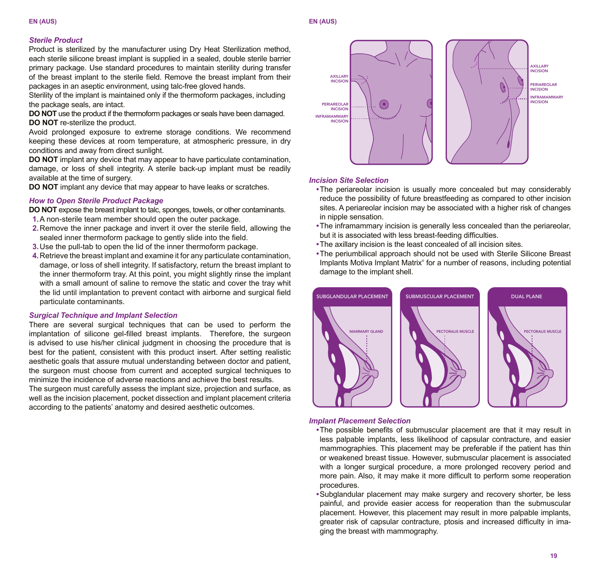#### **EN (AUS) EN (AUS)**

# *Sterile Product*

Product is sterilized by the manufacturer using Dry Heat Sterilization method, each sterile silicone breast implant is supplied in a sealed, double sterile barrier primary package. Use standard procedures to maintain sterility during transfer of the breast implant to the sterile field. Remove the breast implant from their packages in an aseptic environment, using talc-free gloved hands.

Sterility of the implant is maintained only if the thermoform packages, including the package seals, are intact.

**DO NOT** use the product if the thermoform packages or seals have been damaged. **DO NOT** re-sterilize the product.

Avoid prolonged exposure to extreme storage conditions. We recommend keeping these devices at room temperature, at atmospheric pressure, in dry conditions and away from direct sunlight.

**DO NOT** implant any device that may appear to have particulate contamination, damage, or loss of shell integrity. A sterile back-up implant must be readily available at the time of surgery.

**DO NOT** implant any device that may appear to have leaks or scratches.

# *How to Open Sterile Product Package*

**DO NOT** expose the breast implant to talc, sponges, towels, or other contaminants.

- **1.** A non-sterile team member should open the outer package.
- **2.** Remove the inner package and invert it over the sterile field, allowing the sealed inner thermoform package to gently slide into the field.
- **3.** Use the pull-tab to open the lid of the inner thermoform package.
- **4.** Retrieve the breast implant and examine it for any particulate contamination, damage, or loss of shell integrity. If satisfactory, return the breast implant to the inner thermoform tray. At this point, you might slightly rinse the implant with a small amount of saline to remove the static and cover the tray whit the lid until implantation to prevent contact with airborne and surgical field particulate contaminants.

# *Surgical Technique and Implant Selection*

There are several surgical techniques that can be used to perform the implantation of silicone gel-filled breast implants. Therefore, the surgeon is advised to use his/her clinical judgment in choosing the procedure that is best for the patient, consistent with this product insert. After setting realistic aesthetic goals that assure mutual understanding between doctor and patient, the surgeon must choose from current and accepted surgical techniques to minimize the incidence of adverse reactions and achieve the best results.

The surgeon must carefully assess the implant size, projection and surface, as well as the incision placement, pocket dissection and implant placement criteria according to the patients' anatomy and desired aesthetic outcomes.



#### *Incision Site Selection*

- The periareolar incision is usually more concealed but may considerably reduce the possibility of future breastfeeding as compared to other incision sites. A periareolar incision may be associated with a higher risk of changes in nipple sensation.
- The inframammary incision is generally less concealed than the periareolar, but it is associated with less breast-feeding difficulties.
- The axillary incision is the least concealed of all incision sites.
- The periumbilical approach should not be used with Sterile Silicone Breast Implants Motiva Implant Matrix® for a number of reasons, including potential damage to the implant shell.



#### *Implant Placement Selection*

- The possible benefits of submuscular placement are that it may result in less palpable implants, less likelihood of capsular contracture, and easier mammographies. This placement may be preferable if the patient has thin or weakened breast tissue. However, submuscular placement is associated with a longer surgical procedure, a more prolonged recovery period and more pain. Also, it may make it more difficult to perform some reoperation procedures.
- Subglandular placement may make surgery and recovery shorter, be less painful, and provide easier access for reoperation than the submuscular placement. However, this placement may result in more palpable implants, greater risk of capsular contracture, ptosis and increased difficulty in imaging the breast with mammography.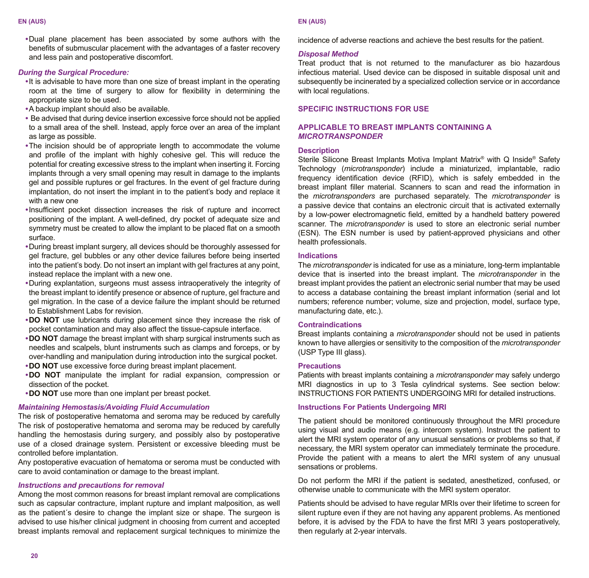**•** Dual plane placement has been associated by some authors with the benefits of submuscular placement with the advantages of a faster recovery and less pain and postoperative discomfort.

#### *During the Surgical Procedure:*

- It is advisable to have more than one size of breast implant in the operating room at the time of surgery to allow for flexibility in determining the appropriate size to be used.
- A backup implant should also be available.
- Be advised that during device insertion excessive force should not be applied to a small area of the shell. Instead, apply force over an area of the implant as large as possible.
- The incision should be of appropriate length to accommodate the volume and profile of the implant with highly cohesive gel. This will reduce the potential for creating excessive stress to the implant when inserting it. Forcing implants through a very small opening may result in damage to the implants gel and possible ruptures or gel fractures. In the event of gel fracture during implantation, do not insert the implant in to the patient's body and replace it with a new one
- Insufficient pocket dissection increases the risk of rupture and incorrect positioning of the implant. A well-defined, dry pocket of adequate size and symmetry must be created to allow the implant to be placed flat on a smooth surface.
- During breast implant surgery, all devices should be thoroughly assessed for gel fracture, gel bubbles or any other device failures before being inserted into the patient's body. Do not insert an implant with gel fractures at any point, instead replace the implant with a new one.
- During explantation, surgeons must assess intraoperatively the integrity of the breast implant to identify presence or absence of rupture, gel fracture and gel migration. In the case of a device failure the implant should be returned to Establishment Labs for revision.
- **DO NOT** use lubricants during placement since they increase the risk of pocket contamination and may also affect the tissue-capsule interface.
- **DO NOT** damage the breast implant with sharp surgical instruments such as needles and scalpels, blunt instruments such as clamps and forceps, or by over-handling and manipulation during introduction into the surgical pocket.
- **DO NOT** use excessive force during breast implant placement.
- **DO NOT** manipulate the implant for radial expansion, compression or dissection of the pocket.
- **DO NOT** use more than one implant per breast pocket.

# *Maintaining Hemostasis/Avoiding Fluid Accumulation*

The risk of postoperative hematoma and seroma may be reduced by carefully The risk of postoperative hematoma and seroma may be reduced by carefully handling the hemostasis during surgery, and possibly also by postoperative use of a closed drainage system. Persistent or excessive bleeding must be controlled before implantation.

Any postoperative evacuation of hematoma or seroma must be conducted with care to avoid contamination or damage to the breast implant.

#### *Instructions and precautions for removal*

Among the most common reasons for breast implant removal are complications such as capsular contracture, implant rupture and implant malposition, as well as the patient´s desire to change the implant size or shape. The surgeon is advised to use his/her clinical judgment in choosing from current and accepted breast implants removal and replacement surgical techniques to minimize the

#### **EN (AUS) EN (AUS)**

incidence of adverse reactions and achieve the best results for the patient.

# *Disposal Method*

Treat product that is not returned to the manufacturer as bio hazardous infectious material. Used device can be disposed in suitable disposal unit and subsequently be incinerated by a specialized collection service or in accordance with local regulations.

# **SPECIFIC INSTRUCTIONS FOR USE**

# **APPLICABLE TO BREAST IMPLANTS CONTAINING A**  *MICROTRANSPONDER*

#### **Description**

Sterile Silicone Breast Implants Motiva Implant Matrix® with Q Inside® Safety Technology (*microtransponder*) include a miniaturized, implantable, radio frequency identification device (RFID), which is safely embedded in the breast implant filler material. Scanners to scan and read the information in the *microtransponders* are purchased separately. The *microtransponder* is a passive device that contains an electronic circuit that is activated externally by a low-power electromagnetic field, emitted by a handheld battery powered scanner. The *microtransponder* is used to store an electronic serial number (ESN). The ESN number is used by patient-approved physicians and other health professionals.

#### **Indications**

The *microtransponder* is indicated for use as a miniature, long-term implantable device that is inserted into the breast implant. The *microtransponder* in the breast implant provides the patient an electronic serial number that may be used to access a database containing the breast implant information (serial and lot numbers; reference number; volume, size and projection, model, surface type, manufacturing date, etc.).

# **Contraindications**

Breast implants containing a *microtransponder* should not be used in patients known to have allergies or sensitivity to the composition of the *microtransponder* (USP Type III glass).

#### **Precautions**

Patients with breast implants containing a *microtransponder* may safely undergo MRI diagnostics in up to 3 Tesla cylindrical systems. See section below: INSTRUCTIONS FOR PATIENTS UNDERGOING MRI for detailed instructions.

# **Instructions For Patients Undergoing MRI**

The patient should be monitored continuously throughout the MRI procedure using visual and audio means (e.g. intercom system). Instruct the patient to alert the MRI system operator of any unusual sensations or problems so that, if necessary, the MRI system operator can immediately terminate the procedure. Provide the patient with a means to alert the MRI system of any unusual sensations or problems.

Do not perform the MRI if the patient is sedated, anesthetized, confused, or otherwise unable to communicate with the MRI system operator.

Patients should be advised to have regular MRIs over their lifetime to screen for silent rupture even if they are not having any apparent problems. As mentioned before, it is advised by the FDA to have the first MRI 3 years postoperatively, then regularly at 2-year intervals.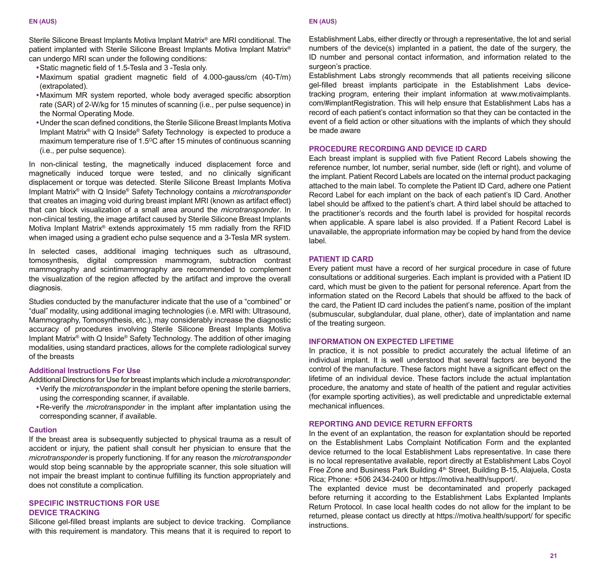Sterile Silicone Breast Implants Motiva Implant Matrix® are MRI conditional. The patient implanted with Sterile Silicone Breast Implants Motiva Implant Matrix® can undergo MRI scan under the following conditions:

- Static magnetic field of 1.5-Tesla and 3 -Tesla only.
- Maximum spatial gradient magnetic field of 4.000-gauss/cm (40-T/m) (extrapolated).
- Maximum MR system reported, whole body averaged specific absorption rate (SAR) of 2-W/kg for 15 minutes of scanning (i.e., per pulse sequence) in the Normal Operating Mode.
- Under the scan defined conditions, the Sterile Silicone Breast Implants Motiva Implant Matrix® with Q Inside® Safety Technology is expected to produce a maximum temperature rise of 1.5<sup>o</sup>C after 15 minutes of continuous scanning (i.e., per pulse sequence).

In non-clinical testing, the magnetically induced displacement force and magnetically induced torque were tested, and no clinically significant displacement or torque was detected. Sterile Silicone Breast Implants Motiva Implant Matrix® with Q Inside® Safety Technology contains a *microtransponder* that creates an imaging void during breast implant MRI (known as artifact effect) that can block visualization of a small area around the *microtransponder*. In non-clinical testing, the image artifact caused by Sterile Silicone Breast Implants Motiva Implant Matrix® extends approximately 15 mm radially from the RFID when imaged using a gradient echo pulse sequence and a 3-Tesla MR system.

In selected cases, additional imaging techniques such as ultrasound, tomosynthesis, digital compression mammogram, subtraction contrast mammography and scintimammography are recommended to complement the visualization of the region affected by the artifact and improve the overall diagnosis.

Studies conducted by the manufacturer indicate that the use of a "combined" or "dual" modality, using additional imaging technologies (i.e. MRI with: Ultrasound, Mammography, Tomosynthesis, etc.), may considerably increase the diagnostic accuracy of procedures involving Sterile Silicone Breast Implants Motiva Implant Matrix<sup>®</sup> with Q Inside<sup>®</sup> Safety Technology. The addition of other imaging modalities, using standard practices, allows for the complete radiological survey of the breasts

# **Additional Instructions For Use**

Additional Directions for Use for breast implants which include a *microtransponder*:

- Verify the *microtransponder* in the implant before opening the sterile barriers, using the corresponding scanner, if available.
- Re-verify the *microtransponder* in the implant after implantation using the corresponding scanner, if available.

#### **Caution**

If the breast area is subsequently subjected to physical trauma as a result of accident or injury, the patient shall consult her physician to ensure that the *microtransponder* is properly functioning. If for any reason the *microtransponder* would stop being scannable by the appropriate scanner, this sole situation will not impair the breast implant to continue fulfilling its function appropriately and does not constitute a complication.

# **SPECIFIC INSTRUCTIONS FOR USE DEVICE TRACKING**

Silicone gel-filled breast implants are subject to device tracking. Compliance with this requirement is mandatory. This means that it is required to report to

#### **EN (AUS) EN (AUS)**

Establishment Labs, either directly or through a representative, the lot and serial numbers of the device(s) implanted in a patient, the date of the surgery, the ID number and personal contact information, and information related to the surgeon's practice.

Establishment Labs strongly recommends that all patients receiving silicone gel-filled breast implants participate in the Establishment Labs devicetracking program, entering their implant information at www.motivaimplants. com/#implantRegistration. This will help ensure that Establishment Labs has a record of each patient's contact information so that they can be contacted in the event of a field action or other situations with the implants of which they should be made aware

#### **PROCEDURE RECORDING AND DEVICE ID CARD**

Each breast implant is supplied with five Patient Record Labels showing the reference number, lot number, serial number, side (left or right), and volume of the implant. Patient Record Labels are located on the internal product packaging attached to the main label. To complete the Patient ID Card, adhere one Patient Record Label for each implant on the back of each patient's ID Card. Another label should be affixed to the patient's chart. A third label should be attached to the practitioner's records and the fourth label is provided for hospital records when applicable. A spare label is also provided. If a Patient Record Label is unavailable, the appropriate information may be copied by hand from the device label.

# **PATIENT ID CARD**

Every patient must have a record of her surgical procedure in case of future consultations or additional surgeries. Each implant is provided with a Patient ID card, which must be given to the patient for personal reference. Apart from the information stated on the Record Labels that should be affixed to the back of the card, the Patient ID card includes the patient's name, position of the implant (submuscular, subglandular, dual plane, other), date of implantation and name of the treating surgeon.

#### **INFORMATION ON EXPECTED LIFETIME**

In practice, it is not possible to predict accurately the actual lifetime of an individual implant. It is well understood that several factors are beyond the control of the manufacture. These factors might have a significant effect on the lifetime of an individual device. These factors include the actual implantation procedure, the anatomy and state of health of the patient and regular activities (for example sporting activities), as well predictable and unpredictable external mechanical influences.

# **REPORTING AND DEVICE RETURN EFFORTS**

In the event of an explantation, the reason for explantation should be reported on the Establishment Labs Complaint Notification Form and the explanted device returned to the local Establishment Labs representative. In case there is no local representative available, report directly at Establishment Labs Coyol Free Zone and Business Park Building 4<sup>th</sup> Street, Building B-15, Alajuela, Costa Rica; Phone: +506 2434-2400 or https://motiva.health/support/.

The explanted device must be decontaminated and properly packaged before returning it according to the Establishment Labs Explanted Implants Return Protocol. In case local health codes do not allow for the implant to be returned, please contact us directly at https://motiva.health/support/ for specific instructions.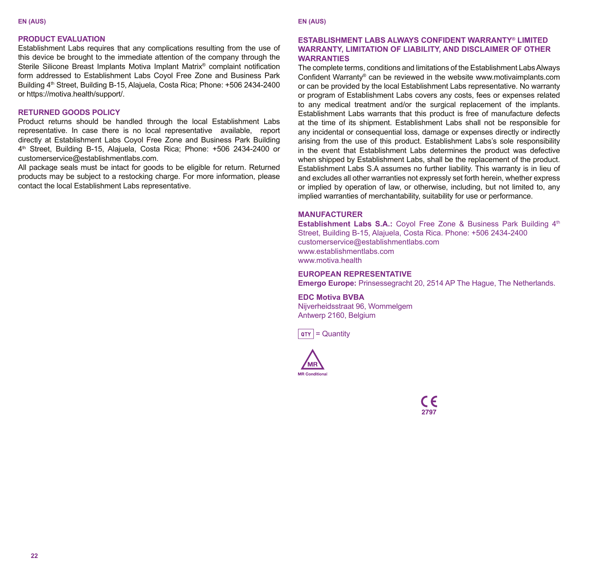#### **EN (AUS) EN (AUS)**

# **PRODUCT EVALUATION**

Establishment Labs requires that any complications resulting from the use of this device be brought to the immediate attention of the company through the Sterile Silicone Breast Implants Motiva Implant Matrix® complaint notification form addressed to Establishment Labs Coyol Free Zone and Business Park Building 4<sup>th</sup> Street, Building B-15, Alajuela, Costa Rica; Phone: +506 2434-2400 or https://motiva.health/support/.

# **RETURNED GOODS POLICY**

Product returns should be handled through the local Establishment Labs representative. In case there is no local representative available, report directly at Establishment Labs Coyol Free Zone and Business Park Building 4<sup>th</sup> Street, Building B-15, Alaiuela, Costa Rica; Phone: +506 2434-2400 or customerservice@establishmentlabs.com.

All package seals must be intact for goods to be eligible for return. Returned products may be subject to a restocking charge. For more information, please contact the local Establishment Labs representative.

### **ESTABLISHMENT LABS ALWAYS CONFIDENT WARRANTY® LIMITED WARRANTY, LIMITATION OF LIABILITY, AND DISCLAIMER OF OTHER WARRANTIES**

The complete terms, conditions and limitations of the Establishment Labs Always Confident Warranty® can be reviewed in the website www.motivaimplants.com or can be provided by the local Establishment Labs representative. No warranty or program of Establishment Labs covers any costs, fees or expenses related to any medical treatment and/or the surgical replacement of the implants. Establishment Labs warrants that this product is free of manufacture defects at the time of its shipment. Establishment Labs shall not be responsible for any incidental or consequential loss, damage or expenses directly or indirectly arising from the use of this product. Establishment Labs's sole responsibility in the event that Establishment Labs determines the product was defective when shipped by Establishment Labs, shall be the replacement of the product. Establishment Labs S.A assumes no further liability. This warranty is in lieu of and excludes all other warranties not expressly set forth herein, whether express or implied by operation of law, or otherwise, including, but not limited to, any implied warranties of merchantability, suitability for use or performance.

# **MANUFACTURER**

Establishment Labs S.A.: Coyol Free Zone & Business Park Building 4<sup>th</sup> Street, Building B-15, Alajuela, Costa Rica. Phone: +506 2434-2400 customerservice@establishmentlabs.com www.establishmentlabs.com www.motiva.health

#### **EUROPEAN REPRESENTATIVE**

**Emergo Europe:** Prinsessegracht 20, 2514 AP The Hague, The Netherlands.

**EDC Motiva BVBA** Nijverheidsstraat 96, Wommelgem Antwerp 2160, Belgium





 $\epsilon$ 2797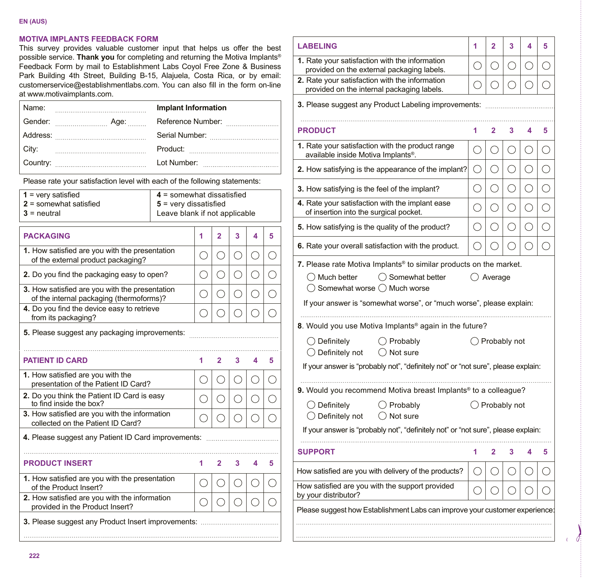#### **EN (AUS)**

# **MOTIVA IMPLANTS FEEDBACK FORM**

This survey provides valuable customer input that helps us offer the best possible service. **Thank you** for completing and returning the Motiva Implants® Feedback Form by mail to Establishment Labs Coyol Free Zone & Business Park Building 4th Street, Building B-15, Alajuela, Costa Rica, or by email: customerservice@establishmentlabs.com. You can also fill in the form on-line at www.motivaimplants.com.

| Name: | <b>Implant Information</b> |
|-------|----------------------------|
|       | Reference Number:          |
|       |                            |
| City: |                            |
|       |                            |

Please rate your satisfaction level with each of the following statements:

| $1 = \text{very satisfied}$ | $4 =$ somewhat dissatisfied   |  |  |  |  |  |  |  |
|-----------------------------|-------------------------------|--|--|--|--|--|--|--|
| $2$ = somewhat satisfied    | $5$ = very dissatisfied       |  |  |  |  |  |  |  |
| $3$ = neutral               | Leave blank if not applicable |  |  |  |  |  |  |  |
| <b>PACKAGING</b>            |                               |  |  |  |  |  |  |  |

| 1. How satisfied are you with the presentation<br>of the external product packaging?       |     |                |    | r.             | ( ) |
|--------------------------------------------------------------------------------------------|-----|----------------|----|----------------|-----|
| 2. Do you find the packaging easy to open?                                                 | . . | Э              |    |                |     |
| 3. How satisfied are you with the presentation<br>of the internal packaging (thermoforms)? | O   | ⊖              | ſ. | ∩              | ⌒   |
| 4. Do you find the device easy to retrieve<br>from its packaging?                          |     |                |    |                |     |
| 5. Please suggest any packaging improvements:                                              |     |                |    |                |     |
|                                                                                            |     |                |    |                |     |
| <b>PATIENT ID CARD</b>                                                                     | 1   | $\overline{2}$ | 3  | $\overline{A}$ | 5   |
| 1. How satisfied are you with the<br>presentation of the Patient ID Card?                  | O   | г.             | Γ. | С.             | ⊂   |
| 2. Do you think the Patient ID Card is easy<br>to find inside the box?                     | Π   | Ω              | O  |                |     |
| 3. How satisfied are you with the information<br>collected on the Patient ID Card?         |     |                |    |                |     |
| 4. Please suggest any Patient ID Card improvements:                                        |     |                |    |                |     |
|                                                                                            |     |                |    |                |     |
| <b>PRODUCT INSERT</b>                                                                      | 1   | $\overline{2}$ | 3  | 4              | 5   |
| 1. How satisfied are you with the presentation<br>of the Product Insert?                   | ×   | ⊖              | 11 | C              |     |
| 2. How satisfied are you with the information<br>provided in the Product Insert?           |     |                |    |                |     |
| 3. Please suggest any Product Insert improvements:                                         |     |                |    |                |     |
|                                                                                            |     |                |    |                |     |

| <b>LABELING</b>                                                                                                                                                                                                                               | 1               | $\overline{a}$ | 3   | 4 | 5 |  |  |
|-----------------------------------------------------------------------------------------------------------------------------------------------------------------------------------------------------------------------------------------------|-----------------|----------------|-----|---|---|--|--|
| 1. Rate your satisfaction with the information<br>provided on the external packaging labels.                                                                                                                                                  |                 | ()             | ()  | ◯ |   |  |  |
| 2. Rate your satisfaction with the information<br>provided on the internal packaging labels.                                                                                                                                                  |                 |                |     |   |   |  |  |
| 3. Please suggest any Product Labeling improvements:                                                                                                                                                                                          |                 |                |     |   |   |  |  |
|                                                                                                                                                                                                                                               |                 |                |     |   |   |  |  |
| <b>PRODUCT</b>                                                                                                                                                                                                                                | 1               | $\overline{2}$ | 3   | 4 | 5 |  |  |
| 1. Rate your satisfaction with the product range<br>available inside Motiva Implants®.                                                                                                                                                        | ∩               |                |     |   |   |  |  |
| 2. How satisfying is the appearance of the implant?                                                                                                                                                                                           | O               | 0              | ( ) | ∩ | ⊖ |  |  |
| 3. How satisfying is the feel of the implant?                                                                                                                                                                                                 | ◯               | ⊖              | ⊖   | ⊖ |   |  |  |
| 4. Rate your satisfaction with the implant ease<br>of insertion into the surgical pocket.                                                                                                                                                     | ∩               |                |     |   |   |  |  |
| 5. How satisfying is the quality of the product?                                                                                                                                                                                              | ∩               | ∩              | ∩   | ∩ | ∩ |  |  |
| 6. Rate your overall satisfaction with the product.                                                                                                                                                                                           |                 |                |     |   |   |  |  |
| $\bigcap$ Much better<br>◯ Somewhat better<br>() Average<br>$\bigcirc$ Somewhat worse $\bigcirc$ Much worse<br>If your answer is "somewhat worse", or "much worse", please explain:<br>8. Would you use Motiva Implants® again in the future? |                 |                |     |   |   |  |  |
| $\bigcirc$ Definitely<br>◯ Probably<br>○ Definitely not ○ Not sure                                                                                                                                                                            | () Probably not |                |     |   |   |  |  |
| If your answer is "probably not", "definitely not" or "not sure", please explain:                                                                                                                                                             |                 |                |     |   |   |  |  |
| 9. Would you recommend Motiva breast Implants <sup>®</sup> to a colleague?                                                                                                                                                                    |                 |                |     |   |   |  |  |
| $\bigcirc$ Definitely<br>$\bigcirc$ Probably<br>$\bigcap$ Not sure<br>◯ Definitely not                                                                                                                                                        | () Probably not |                |     |   |   |  |  |
| If your answer is "probably not", "definitely not" or "not sure", please explain:                                                                                                                                                             |                 |                |     |   |   |  |  |
| <b>SUPPORT</b>                                                                                                                                                                                                                                | 1               | 2              | 3   | 4 | 5 |  |  |
| How satisfied are you with delivery of the products?                                                                                                                                                                                          |                 |                |     |   |   |  |  |
| How satisfied are you with the support provided<br>by your distributor?                                                                                                                                                                       |                 |                |     |   |   |  |  |
| Please suggest how Establishment Labs can improve your customer experience:                                                                                                                                                                   |                 |                |     |   |   |  |  |